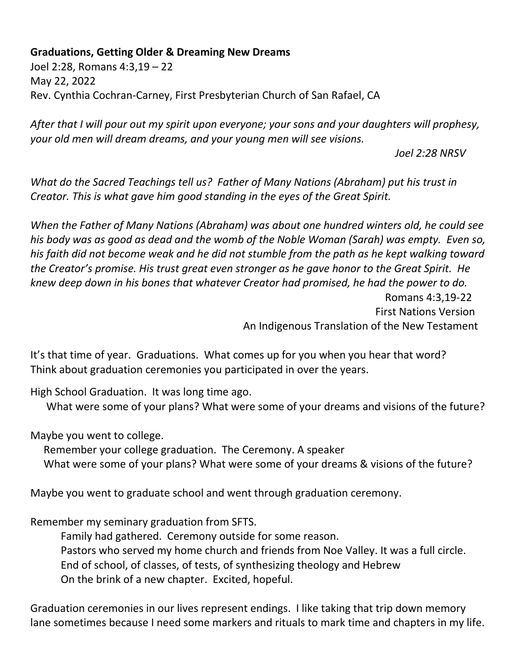## **Graduations, Getting Older & Dreaming New Dreams**

Joel 2:28, Romans 4:3,19 – 22 May 22, 2022 Rev. Cynthia Cochran-Carney, First Presbyterian Church of San Rafael, CA

*After that I will pour out my spirit upon everyone; your sons and your daughters will prophesy, your old men will dream dreams, and your young men will see visions.*

*Joel 2:28 NRSV*

*What do the Sacred Teachings tell us? Father of Many Nations (Abraham) put his trust in Creator. This is what gave him good standing in the eyes of the Great Spirit.*

*When the Father of Many Nations (Abraham) was about one hundred winters old, he could see his body was as good as dead and the womb of the Noble Woman (Sarah) was empty. Even so, his faith did not become weak and he did not stumble from the path as he kept walking toward the Creator's promise. His trust great even stronger as he gave honor to the Great Spirit. He knew deep down in his bones that whatever Creator had promised, he had the power to do.*  Romans 4:3,19-22 First Nations Version

An Indigenous Translation of the New Testament

It's that time of year. Graduations. What comes up for you when you hear that word? Think about graduation ceremonies you participated in over the years.

High School Graduation. It was long time ago.

What were some of your plans? What were some of your dreams and visions of the future?

Maybe you went to college.

 Remember your college graduation. The Ceremony. A speaker What were some of your plans? What were some of your dreams & visions of the future?

Maybe you went to graduate school and went through graduation ceremony.

Remember my seminary graduation from SFTS.

Family had gathered. Ceremony outside for some reason. Pastors who served my home church and friends from Noe Valley. It was a full circle. End of school, of classes, of tests, of synthesizing theology and Hebrew On the brink of a new chapter. Excited, hopeful.

Graduation ceremonies in our lives represent endings. I like taking that trip down memory lane sometimes because I need some markers and rituals to mark time and chapters in my life.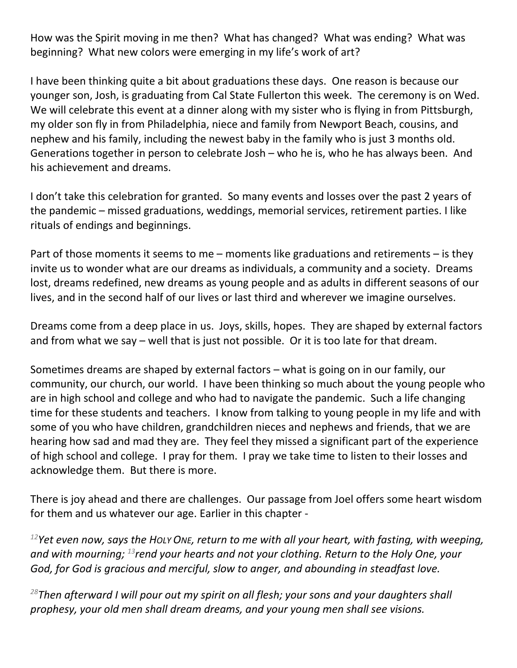How was the Spirit moving in me then? What has changed? What was ending? What was beginning? What new colors were emerging in my life's work of art?

I have been thinking quite a bit about graduations these days. One reason is because our younger son, Josh, is graduating from Cal State Fullerton this week. The ceremony is on Wed. We will celebrate this event at a dinner along with my sister who is flying in from Pittsburgh, my older son fly in from Philadelphia, niece and family from Newport Beach, cousins, and nephew and his family, including the newest baby in the family who is just 3 months old. Generations together in person to celebrate Josh – who he is, who he has always been. And his achievement and dreams.

I don't take this celebration for granted. So many events and losses over the past 2 years of the pandemic – missed graduations, weddings, memorial services, retirement parties. I like rituals of endings and beginnings.

Part of those moments it seems to me – moments like graduations and retirements – is they invite us to wonder what are our dreams as individuals, a community and a society. Dreams lost, dreams redefined, new dreams as young people and as adults in different seasons of our lives, and in the second half of our lives or last third and wherever we imagine ourselves.

Dreams come from a deep place in us. Joys, skills, hopes. They are shaped by external factors and from what we say – well that is just not possible. Or it is too late for that dream.

Sometimes dreams are shaped by external factors – what is going on in our family, our community, our church, our world. I have been thinking so much about the young people who are in high school and college and who had to navigate the pandemic. Such a life changing time for these students and teachers. I know from talking to young people in my life and with some of you who have children, grandchildren nieces and nephews and friends, that we are hearing how sad and mad they are. They feel they missed a significant part of the experience of high school and college. I pray for them. I pray we take time to listen to their losses and acknowledge them. But there is more.

There is joy ahead and there are challenges. Our passage from Joel offers some heart wisdom for them and us whatever our age. Earlier in this chapter -

*<sup>12</sup>Yet even now, says the HOLY ONE, return to me with all your heart, with fasting, with weeping, and with mourning; <sup>13</sup>rend your hearts and not your clothing. Return to the Holy One, your God, for God is gracious and merciful, slow to anger, and abounding in steadfast love.*

*<sup>28</sup>Then afterward I will pour out my spirit on all flesh; your sons and your daughters shall prophesy, your old men shall dream dreams, and your young men shall see visions.*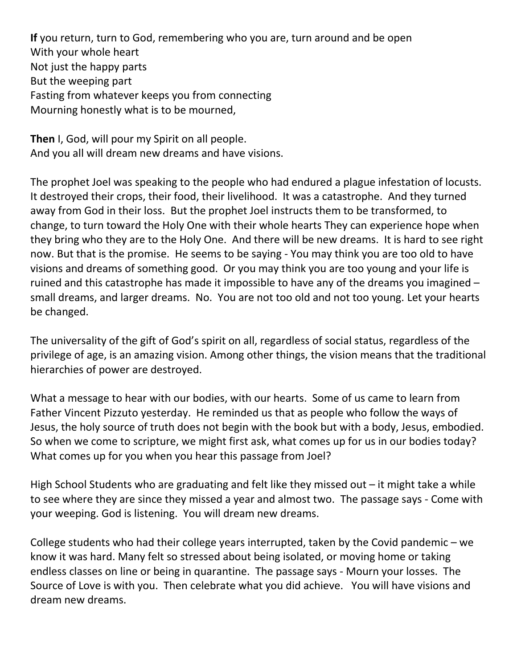**If** you return, turn to God, remembering who you are, turn around and be open With your whole heart Not just the happy parts But the weeping part Fasting from whatever keeps you from connecting Mourning honestly what is to be mourned,

**Then** I, God, will pour my Spirit on all people. And you all will dream new dreams and have visions.

The prophet Joel was speaking to the people who had endured a plague infestation of locusts. It destroyed their crops, their food, their livelihood. It was a catastrophe. And they turned away from God in their loss. But the prophet Joel instructs them to be transformed, to change, to turn toward the Holy One with their whole hearts They can experience hope when they bring who they are to the Holy One. And there will be new dreams. It is hard to see right now. But that is the promise. He seems to be saying - You may think you are too old to have visions and dreams of something good. Or you may think you are too young and your life is ruined and this catastrophe has made it impossible to have any of the dreams you imagined – small dreams, and larger dreams. No. You are not too old and not too young. Let your hearts be changed.

The universality of the gift of God's spirit on all, regardless of social status, regardless of the privilege of age, is an amazing vision. Among other things, the vision means that the traditional hierarchies of power are destroyed.

What a message to hear with our bodies, with our hearts. Some of us came to learn from Father Vincent Pizzuto yesterday. He reminded us that as people who follow the ways of Jesus, the holy source of truth does not begin with the book but with a body, Jesus, embodied. So when we come to scripture, we might first ask, what comes up for us in our bodies today? What comes up for you when you hear this passage from Joel?

High School Students who are graduating and felt like they missed out  $-$  it might take a while to see where they are since they missed a year and almost two. The passage says - Come with your weeping. God is listening. You will dream new dreams.

College students who had their college years interrupted, taken by the Covid pandemic – we know it was hard. Many felt so stressed about being isolated, or moving home or taking endless classes on line or being in quarantine. The passage says - Mourn your losses. The Source of Love is with you. Then celebrate what you did achieve. You will have visions and dream new dreams.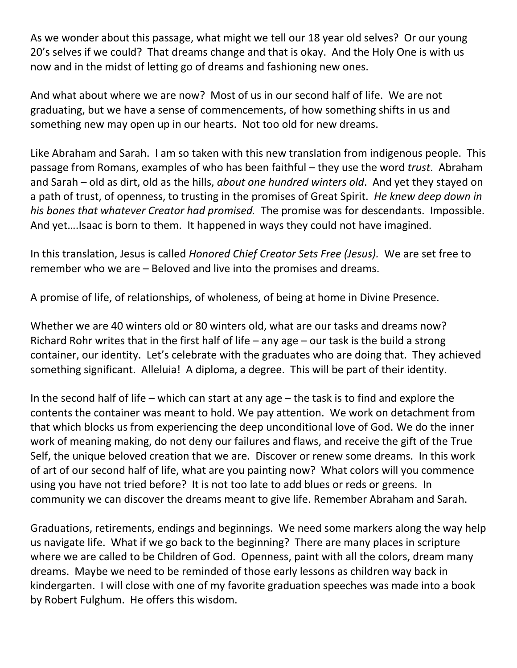As we wonder about this passage, what might we tell our 18 year old selves? Or our young 20's selves if we could? That dreams change and that is okay. And the Holy One is with us now and in the midst of letting go of dreams and fashioning new ones.

And what about where we are now? Most of us in our second half of life. We are not graduating, but we have a sense of commencements, of how something shifts in us and something new may open up in our hearts. Not too old for new dreams.

Like Abraham and Sarah. I am so taken with this new translation from indigenous people. This passage from Romans, examples of who has been faithful – they use the word *trust*. Abraham and Sarah – old as dirt, old as the hills, *about one hundred winters old*. And yet they stayed on a path of trust, of openness, to trusting in the promises of Great Spirit. *He knew deep down in his bones that whatever Creator had promised.* The promise was for descendants. Impossible. And yet….Isaac is born to them. It happened in ways they could not have imagined.

In this translation, Jesus is called *Honored Chief Creator Sets Free (Jesus).* We are set free to remember who we are – Beloved and live into the promises and dreams.

A promise of life, of relationships, of wholeness, of being at home in Divine Presence.

Whether we are 40 winters old or 80 winters old, what are our tasks and dreams now? Richard Rohr writes that in the first half of life – any age – our task is the build a strong container, our identity. Let's celebrate with the graduates who are doing that. They achieved something significant. Alleluia! A diploma, a degree. This will be part of their identity.

In the second half of life – which can start at any age – the task is to find and explore the contents the container was meant to hold. We pay attention. We work on detachment from that which blocks us from experiencing the deep unconditional love of God. We do the inner work of meaning making, do not deny our failures and flaws, and receive the gift of the True Self, the unique beloved creation that we are. Discover or renew some dreams. In this work of art of our second half of life, what are you painting now? What colors will you commence using you have not tried before? It is not too late to add blues or reds or greens. In community we can discover the dreams meant to give life. Remember Abraham and Sarah.

Graduations, retirements, endings and beginnings. We need some markers along the way help us navigate life. What if we go back to the beginning? There are many places in scripture where we are called to be Children of God. Openness, paint with all the colors, dream many dreams. Maybe we need to be reminded of those early lessons as children way back in kindergarten. I will close with one of my favorite graduation speeches was made into a book by Robert Fulghum. He offers this wisdom.